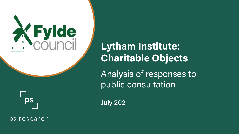

**Lytham Institute: Charitable Objects**

Analysis of responses to public consultation



July 2021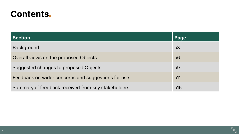### **Contents.**

| <b>Section</b>                                     | Page           |
|----------------------------------------------------|----------------|
| <b>Background</b>                                  | p <sub>3</sub> |
| Overall views on the proposed Objects              | p <sub>6</sub> |
| Suggested changes to proposed Objects              | p <sub>9</sub> |
| Feedback on wider concerns and suggestions for use | p11            |
| Summary of feedback received from key stakeholders | p16            |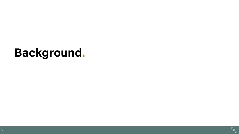# **Background.**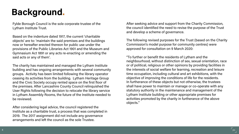## **Background.**

Fylde Borough Council is the sole corporate trustee of the Lytham Institute Trust.

Based on the indenture dated 1917, the current 'charitable objects' are to: 'maintain the said premises and the buildings now or hereafter erected thereon for public use under the provisions of the Public Libraries Act 1901 and the Museum and Gymnasium Act 1891 or any acts re-enacting or amending the said acts or any of them'.

The charity has maintained and managed the Lytham Institute building and has ongoing arrangements with several community groups. Activity has been limited following the library operator ceasing its activities from the building. Lytham Heritage Group and the Civic Society occupy rented space on the first floor of the premises. After Lancashire County Council relinquished the User Rights following the decision to relocate the library service in Lytham Assembly Rooms, the future of the Institute needed to be reviewed.

After considering legal advice, the council registered the Institute as a charitable trust, a process that was completed in 2019. The 2017 assignment did not include any governance arrangements and left the council as the sole Trustee.

After seeking advice and support from the Charity Commission, the council identified the need to revise the purpose of the Trust and develop a scheme of governance.

The following revised purposes for the Trust (based on the Charity Commission's model purpose for community centres) were approved for consultation on 9 March 2020:

"To further or benefit the residents of Lytham and the neighbourhood, without distinction of sex, sexual orientation, race or of political, religious or other opinions by providing facilities in the interests of social welfare for learning, recreation and leisure time occupation, including cultural and art exhibitions, with the objective of improving the conditions of life for the residents. In furtherance of these objects but not otherwise, the trustees shall have power to maintain or manage or co-operate with any statutory authority in the maintenance and management of the Lytham Institute building or other appropriate premises for activities promoted by the charity in furtherance of the above objects."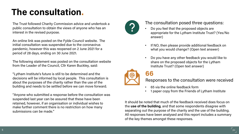### **The consultation.**

The Trust followed Charity Commission advice and undertook a public consultation to obtain the views of anyone who has an interest in the revised purpose.

An online link was posted on the Fylde Council website. The initial consultation was suspended due to the coronavirus pandemic, however this was reopened on 2 June 2021 for a period of 28 days, ending on 30 June 2021.

The following statement was posted on the consultation website from the Leader of the Council, Cllr Karen Buckley, said:

"Lytham Institute's future is still to be determined and the decisions will be informed by local people. This consultation is about the purposes of the charity rather than the use of the building and needs to be settled before we can move forward.

"Anyone who submitted a response before the consultation was suspended last year can be assured that these have been retained, however, if an organisation or individual wishes to make further comment there is no restriction on how many submissions can be made."



#### The consultation posed three questions:

- Do you feel that the proposed objects are appropriate for the Lytham Institute Trust? (Yes/No answer)
- If NO, then please provide additional feedback on what you would change? (Open text answer)
- Do you have any other feedback you would like to share on the proposed objects for the Lytham Institute Trust? (Open text answer)





- 65 via the online feedback form
- 1 paper copy from the Friends of Lytham Institute

It should be noted that much of the feedback received does focus on the **use of the building**, and that some respondents disagree with separating out the purpose of the charity and the use of the building. All responses have been analysed and this report includes a summary of the key themes amongst these responses.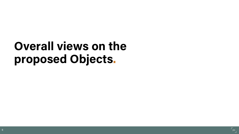# **Overall views on the proposed Objects.**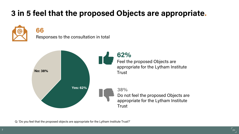### **3 in 5 feel that the proposed Objects are appropriate.**



### **66**

Responses to the consultation in total



Q: 'Do you feel that the proposed objects are appropriate for the Lytham Institute Trust?'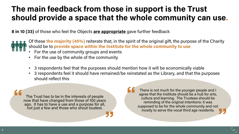### **The main feedback from those in support is the Trust should provide a space that the whole community can use.**

**8 in 10 (33)** of those who feel the Objects **are appropriate** gave further feedback



Of these **the majority (45%)** reiterate that, in the spirit of the original gift, the purpose of the Charity should be to **provide space within the Institute for the whole community to use**

- For the use of community groups and events
- For the use by the whole of the community
- 3 respondents feel that the purposes should mention how it will be economically viable
- 3 respondents feel it should have remained/be reinstated as the Library, and that the purposes should reflect this

The Trust has to be in the interests of people now that have changed from those of 100 years ago. It has to have a use and a purpose for all, not just a few and those who shout loudest.

There is not much for the younger people and I agree that the Institute should be a hub for arts, culture and learning. The Trustees should be reminding of the original intentions: it was supposed to be for the whole community and not mostly to serve the vocal third age residents.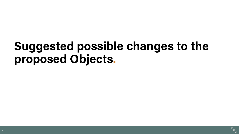# **Suggested possible changes to the proposed Objects.**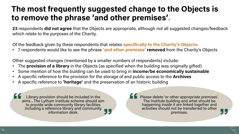### **The most frequently suggested change to the Objects is to remove the phrase 'and other premises'.**

**23** respondents **did not agree** that the Objects are appropriate, although not all suggested changes/feedback which relate to the purposes of the Charity.

Of the feedback given by these respondents that relates **specifically to the Charity's Objects:**

• 7 respondents would like to see the phrase **'and other premises' removed** from the Charity's Objects

Other suggested changes (mentioned by a smaller numbers of respondents) include:

- The **provision of a library** in the Objects (as specified when the building was originally gifted)
- Some mention of how the building can be used to bring in **income/be economically sustainable**
- A specific reference to the provision for the storage of and public access to the **Archives**
- A specific reference to **'heritage'** and the preservation of an historic building

Library provision should be included in the<br>aims...The Lytham Institute scheme should aim to provide wide community library facilities including a reference library and community information desk.

Please delete 'or other appropriate premises'. The Institute building and what should be happening inside it are linked together and activities should not be transferred to other premises.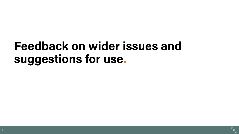## **Feedback on wider issues and suggestions for use.**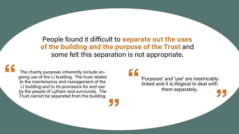People found it difficult to **separate out the uses of the building and the purpose of the Trust** and some felt this separation is not appropriate.

The charity purposes inherently include ongoing use of the LI building. The trust relates to the maintenance and management of the LI building and to its provisions for and use by the people of Lytham and surrounds. The Trust cannot be separated from the building.

'Purposes' and 'use' are inextricably linked and it is illogical to deal with them separately.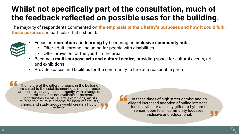### **Whilst not specifically part of the consultation, much of the feedback reflected on possible uses for the building.**

The majority of respondents commented on **the emphasis of the Charity's purposes and how it could fulfil these purposes**, in particular that it should:



- Focus on **recreation** and **learning** by becoming an **inclusive community hub**:
	- Offer adult learning, including for people with disabilities
	- Offer provision for the youth in the area
- Become a **multi-purpose arts and cultural centre**, providing space for cultural events, art and exhibitions
- Provide spaces and facilities for the community to hire at a reasonable price

The nature of the different rooms in the building are suited to the establishment of a multi purpose arts centre, serving the community with a range of<br>cultural activities not available at present.<br>Opportunities for visual arts exhibitions, artists studios to hire, music rooms for instrumentalists, choirs, and study groups would create a hub of

In these times of high street demise and an alleged increased adoption of online interface, I feel it is vital for a facility gifted to Lytham to remain open to all, community focussed, inclusive and educational.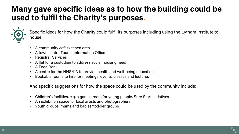### **Many gave specific ideas as to how the building could be used to fulfil the Charity's purposes.**



Specific ideas for how the Charity could fulfil its purposes including using the Lytham Institute to house:

- A community café/kitchen area
- A town centre Tourist Information Office
- Registrar Services
- A flat for a custodian to address social housing need
- A Food Bank
- A centre for the NHS/LA to provide health and well-being education
- Bookable rooms to hire for meetings, events, classes and lectures

And specific suggestions for how the space could be used by the community include:

- Children's facilities, e.g. a games room for young people, Sure Start initiatives
- An exhibition space for local artists and photographers
- Youth groups, mums and babies/toddler groups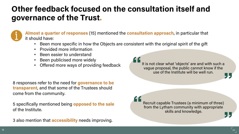### **Other feedback focused on the consultation itself and governance of the Trust.**



**Almost a quarter of responses** (15) mentioned the **consultation approach**, in particular that it should have:

- Been more specific in how the Objects are consistent with the original spirit of the gift
- Provided more information
- Been easier to understand
- Been publicised more widely
- Offered more ways of providing feedback

8 responses refer to the need for **governance to be transparent**, and that some of the Trustees should come from the community.

5 specifically mentioned being **opposed to the sale**  of the Institute.

3 also mention that **accessibility** needs improving.

It is not clear what 'objects' are and with such a vague proposal, the public cannot know if the use of the Institute will be well run.

Recruit capable Trustees (a minimum of three) from the Lytham community with appropriate skills and knowledge.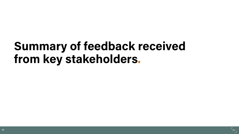## **Summary of feedback received from key stakeholders.**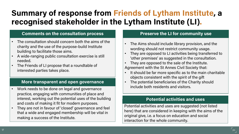### **Summary of response from Friends of Lytham Institute, a recognised stakeholder in the Lytham Institute (LI).**

#### **Comments on the consultation process**

- The consultation should concern both the aims of the charity and the use of the purpose-build Institute building to facilitate those aims.
- A wide-ranging public consultation exercise is still needed.
- The Friends of LI propose that a roundtable of interested parties takes place.

#### **More transparent and open governance**

- Work needs to be done on legal and governance practice, engaging with communities of place and interest, working out the potential uses of the building and costs of making it fit for modern purposes.
- They are not in favour of 'closed' governance and feel that a wide and engaged membership will be vital in making a success of the Institute.

#### **Preserve the LI for community use**

- The Aims should include library provision, and the wording should not restrict community usage.
- They are opposed to LI activities being transferred to 'other premises' as suggested in the consultation.
- They are opposed to the sale of the Institute. Agreement with the St Annes Civil Society that:
- It should be far more specific as to the main charitable objects consistent with the spirit of the gift
- The potential beneficiaries of the Charity should include both residents and visitors.

#### **Potential activities and uses**

Potential activities and uses are suggested (not listed here) that are considered in keeping with the aims of the original give, i.e. a focus on education and social interaction for the whole community.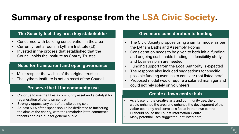## **Summary of response from the LSA Civic Society.**

#### **The Society feel they are a key stakeholder**

- Concerned with building conservation in the area
- Currently rent a room in Lytham Institute (LI)
- Invested in the process that established that the Council holds the Institute as Charity Trustee

#### **Need for transparent and open governance**

- Must respect the wishes of the original trustees
- The Lytham Institute is not an asset of the Council

#### **Preserve the LI for community use**

- Continue to use the LI as a community asset and a catalyst for regeneration of the town centre
- Strongly oppose any part of the site being sold
- At least 50% of the space should be dedicated to furthering the aims of the charity, with the remainder let to commercial tenants and as a hub for general public

#### **Give more consideration to funding**

- The Civic Society propose using a similar model as per the Lytham Baths and Assembly Rooms
- Consideration needs to be given to both initial funding and ongoing sustainable funding – a feasibility study and business plan are needed
- Funding support from the Local Authority is expected
- The response also included suggestions for specific possible funding avenues to consider (not listed here).
- Proposed model would require a salaried manager and could not rely solely on volunteers.

#### **Create a town centre hub**

- As a base for the creative arts and community use, the LI would enhance the area and enhance the development of the visitor economy and serve as a focus in the town centre
- LI should house the Tourist Information Centre
- Many potential uses suggested (not listed here)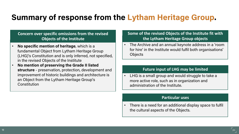### **Summary of response from the Lytham Heritage Group.**

#### **Concern over specific omissions from the revised Objects of the Institute**

- **No specific mention of heritage**, which is a fundamental Object from Lytham Heritage Group (LHG)'s Constitution and is only inferred, not specified, in the revised Objects of the Institute
- **No mention of preserving the Grade II listed structure** - preservation, protection, development and improvement of historic buildings and architecture is an Object from the Lytham Heritage Group's Constitution

#### **Some of the revised Objects of the Institute fit with the Lytham Heritage Group objects**

• The Archive and an annual keynote address in a 'room for hire' in the Institute would fulfil both organisations' **Objects** 

#### **Future input of LHG may be limited**

LHG is a small group and would struggle to take a more active role, such as in organization and administration of the Institute.

#### **Particular uses**

• There is a need for an additional display space to fulfil the cultural aspects of the Objects.